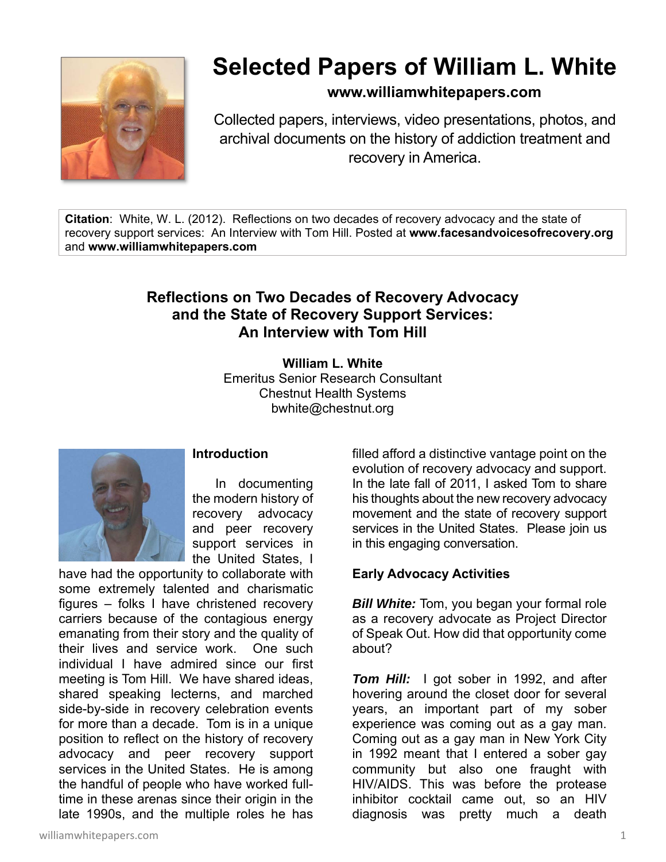

# **Selected Papers of William L. White**

# **www.williamwhitepapers.com**

Collected papers, interviews, video presentations, photos, and archival documents on the history of addiction treatment and recovery in America.

**Citation**: White, W. L. (2012). Reflections on two decades of recovery advocacy and the state of recovery support services: An Interview with Tom Hill. Posted at **www.facesandvoicesofrecovery.org** and **www.williamwhitepapers.com**

# **Reflections on Two Decades of Recovery Advocacy and the State of Recovery Support Services: An Interview with Tom Hill**

**William L. White**  Emeritus Senior Research Consultant Chestnut Health Systems bwhite@chestnut.org



#### **Introduction**

 In documenting the modern history of recovery advocacy and peer recovery support services in the United States, I

have had the opportunity to collaborate with some extremely talented and charismatic figures – folks I have christened recovery carriers because of the contagious energy emanating from their story and the quality of their lives and service work. One such individual I have admired since our first meeting is Tom Hill. We have shared ideas, shared speaking lecterns, and marched side-by-side in recovery celebration events for more than a decade. Tom is in a unique position to reflect on the history of recovery advocacy and peer recovery support services in the United States. He is among the handful of people who have worked fulltime in these arenas since their origin in the late 1990s, and the multiple roles he has

filled afford a distinctive vantage point on the evolution of recovery advocacy and support. In the late fall of 2011, I asked Tom to share his thoughts about the new recovery advocacy movement and the state of recovery support services in the United States. Please join us in this engaging conversation.

# **Early Advocacy Activities**

*Bill White:* Tom, you began your formal role as a recovery advocate as Project Director of Speak Out. How did that opportunity come about?

**Tom Hill:** I got sober in 1992, and after hovering around the closet door for several years, an important part of my sober experience was coming out as a gay man. Coming out as a gay man in New York City in 1992 meant that I entered a sober gay community but also one fraught with HIV/AIDS. This was before the protease inhibitor cocktail came out, so an HIV diagnosis was pretty much a death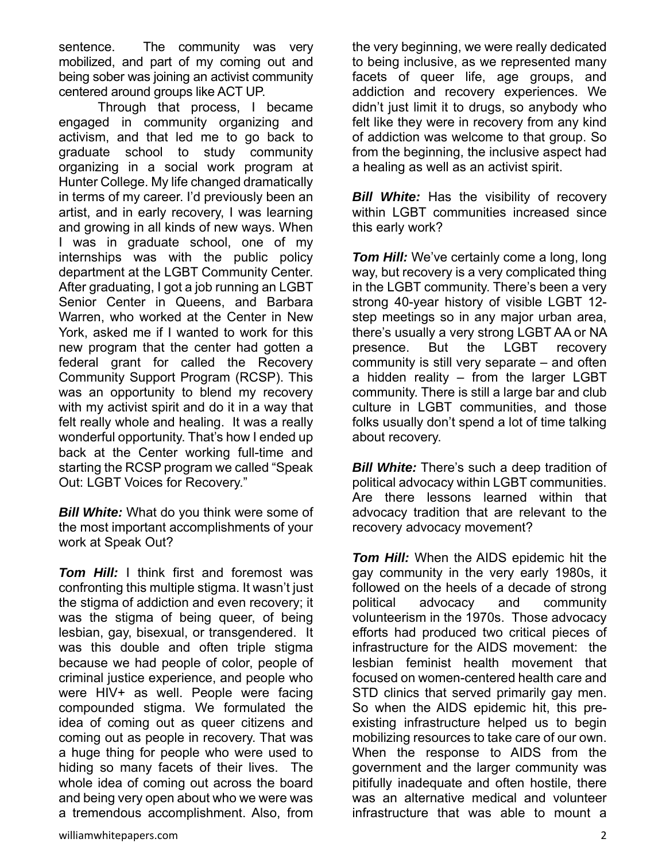sentence. The community was very mobilized, and part of my coming out and being sober was joining an activist community centered around groups like ACT UP.

 Through that process, I became engaged in community organizing and activism, and that led me to go back to graduate school to study community organizing in a social work program at Hunter College. My life changed dramatically in terms of my career. I'd previously been an artist, and in early recovery, I was learning and growing in all kinds of new ways. When I was in graduate school, one of my internships was with the public policy department at the LGBT Community Center. After graduating, I got a job running an LGBT Senior Center in Queens, and Barbara Warren, who worked at the Center in New York, asked me if I wanted to work for this new program that the center had gotten a federal grant for called the Recovery Community Support Program (RCSP). This was an opportunity to blend my recovery with my activist spirit and do it in a way that felt really whole and healing. It was a really wonderful opportunity. That's how I ended up back at the Center working full-time and starting the RCSP program we called "Speak Out: LGBT Voices for Recovery."

*Bill White:* What do you think were some of the most important accomplishments of your work at Speak Out?

*Tom Hill:* I think first and foremost was confronting this multiple stigma. It wasn't just the stigma of addiction and even recovery; it was the stigma of being queer, of being lesbian, gay, bisexual, or transgendered. It was this double and often triple stigma because we had people of color, people of criminal justice experience, and people who were HIV+ as well. People were facing compounded stigma. We formulated the idea of coming out as queer citizens and coming out as people in recovery. That was a huge thing for people who were used to hiding so many facets of their lives. The whole idea of coming out across the board and being very open about who we were was a tremendous accomplishment. Also, from

the very beginning, we were really dedicated to being inclusive, as we represented many facets of queer life, age groups, and addiction and recovery experiences. We didn't just limit it to drugs, so anybody who felt like they were in recovery from any kind of addiction was welcome to that group. So from the beginning, the inclusive aspect had a healing as well as an activist spirit.

**Bill White:** Has the visibility of recovery within LGBT communities increased since this early work?

*Tom Hill:* We've certainly come a long, long way, but recovery is a very complicated thing in the LGBT community. There's been a very strong 40-year history of visible LGBT 12 step meetings so in any major urban area, there's usually a very strong LGBT AA or NA presence. But the LGBT recovery community is still very separate – and often a hidden reality – from the larger LGBT community. There is still a large bar and club culture in LGBT communities, and those folks usually don't spend a lot of time talking about recovery.

*Bill White:* There's such a deep tradition of political advocacy within LGBT communities. Are there lessons learned within that advocacy tradition that are relevant to the recovery advocacy movement?

*Tom Hill:* When the AIDS epidemic hit the gay community in the very early 1980s, it followed on the heels of a decade of strong political advocacy and community volunteerism in the 1970s. Those advocacy efforts had produced two critical pieces of infrastructure for the AIDS movement: the lesbian feminist health movement that focused on women-centered health care and STD clinics that served primarily gay men. So when the AIDS epidemic hit, this preexisting infrastructure helped us to begin mobilizing resources to take care of our own. When the response to AIDS from the government and the larger community was pitifully inadequate and often hostile, there was an alternative medical and volunteer infrastructure that was able to mount a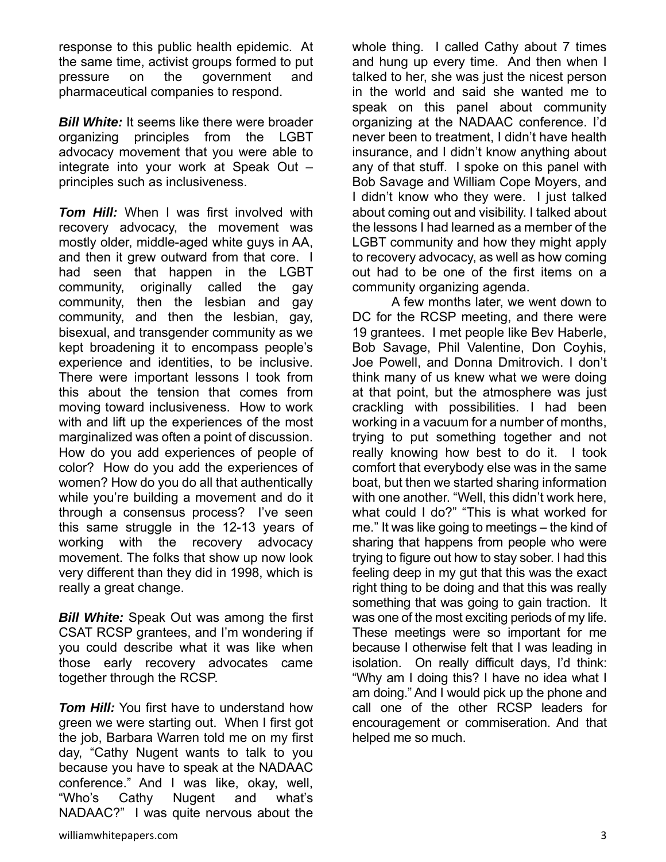response to this public health epidemic. At the same time, activist groups formed to put pressure on the government and pharmaceutical companies to respond.

*Bill White:* It seems like there were broader organizing principles from the LGBT advocacy movement that you were able to integrate into your work at Speak Out – principles such as inclusiveness.

*Tom Hill:* When I was first involved with recovery advocacy, the movement was mostly older, middle-aged white guys in AA, and then it grew outward from that core. I had seen that happen in the LGBT community, originally called the gay community, then the lesbian and gay community, and then the lesbian, gay, bisexual, and transgender community as we kept broadening it to encompass people's experience and identities, to be inclusive. There were important lessons I took from this about the tension that comes from moving toward inclusiveness. How to work with and lift up the experiences of the most marginalized was often a point of discussion. How do you add experiences of people of color? How do you add the experiences of women? How do you do all that authentically while you're building a movement and do it through a consensus process? I've seen this same struggle in the 12-13 years of working with the recovery advocacy movement. The folks that show up now look very different than they did in 1998, which is really a great change.

**Bill White:** Speak Out was among the first CSAT RCSP grantees, and I'm wondering if you could describe what it was like when those early recovery advocates came together through the RCSP.

**Tom Hill:** You first have to understand how green we were starting out. When I first got the job, Barbara Warren told me on my first day, "Cathy Nugent wants to talk to you because you have to speak at the NADAAC conference." And I was like, okay, well, "Who's Cathy Nugent and what's NADAAC?" I was quite nervous about the

whole thing. I called Cathy about 7 times and hung up every time. And then when I talked to her, she was just the nicest person in the world and said she wanted me to speak on this panel about community organizing at the NADAAC conference. I'd never been to treatment, I didn't have health insurance, and I didn't know anything about any of that stuff. I spoke on this panel with Bob Savage and William Cope Moyers, and I didn't know who they were. I just talked about coming out and visibility. I talked about the lessons I had learned as a member of the LGBT community and how they might apply to recovery advocacy, as well as how coming out had to be one of the first items on a community organizing agenda.

 A few months later, we went down to DC for the RCSP meeting, and there were 19 grantees. I met people like Bev Haberle, Bob Savage, Phil Valentine, Don Coyhis, Joe Powell, and Donna Dmitrovich. I don't think many of us knew what we were doing at that point, but the atmosphere was just crackling with possibilities. I had been working in a vacuum for a number of months, trying to put something together and not really knowing how best to do it. I took comfort that everybody else was in the same boat, but then we started sharing information with one another. "Well, this didn't work here, what could I do?" "This is what worked for me." It was like going to meetings – the kind of sharing that happens from people who were trying to figure out how to stay sober. I had this feeling deep in my gut that this was the exact right thing to be doing and that this was really something that was going to gain traction. It was one of the most exciting periods of my life. These meetings were so important for me because I otherwise felt that I was leading in isolation. On really difficult days, I'd think: "Why am I doing this? I have no idea what I am doing." And I would pick up the phone and call one of the other RCSP leaders for encouragement or commiseration. And that helped me so much.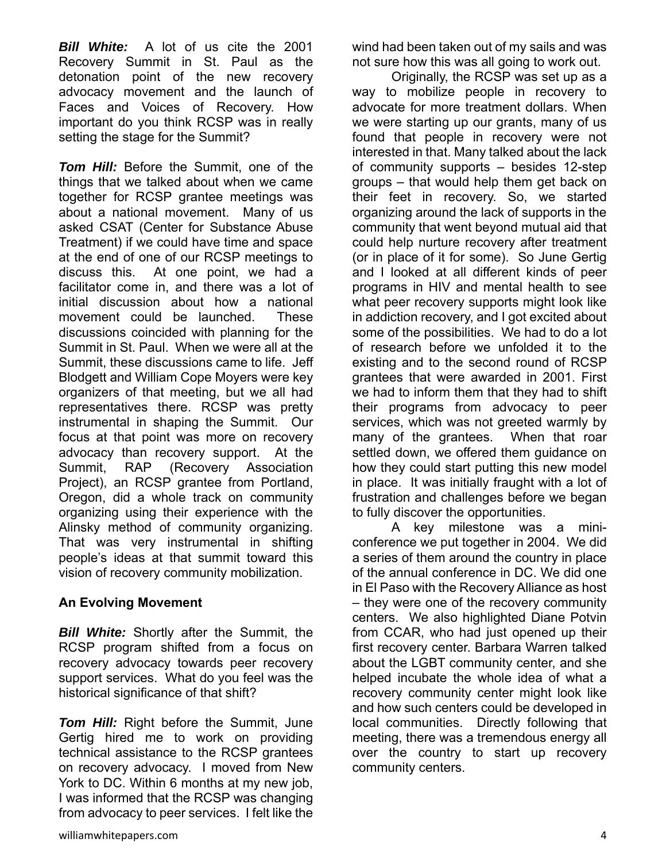*Bill White:* A lot of us cite the 2001 Recovery Summit in St. Paul as the detonation point of the new recovery advocacy movement and the launch of Faces and Voices of Recovery. How important do you think RCSP was in really setting the stage for the Summit?

*Tom Hill:* Before the Summit, one of the things that we talked about when we came together for RCSP grantee meetings was about a national movement. Many of us asked CSAT (Center for Substance Abuse Treatment) if we could have time and space at the end of one of our RCSP meetings to discuss this. At one point, we had a facilitator come in, and there was a lot of initial discussion about how a national movement could be launched. These discussions coincided with planning for the Summit in St. Paul. When we were all at the Summit, these discussions came to life. Jeff Blodgett and William Cope Moyers were key organizers of that meeting, but we all had representatives there. RCSP was pretty instrumental in shaping the Summit. Our focus at that point was more on recovery advocacy than recovery support. At the Summit, RAP (Recovery Association Project), an RCSP grantee from Portland, Oregon, did a whole track on community organizing using their experience with the Alinsky method of community organizing. That was very instrumental in shifting people's ideas at that summit toward this vision of recovery community mobilization.

# **An Evolving Movement**

*Bill White:* Shortly after the Summit, the RCSP program shifted from a focus on recovery advocacy towards peer recovery support services. What do you feel was the historical significance of that shift?

*Tom Hill:* Right before the Summit, June Gertig hired me to work on providing technical assistance to the RCSP grantees on recovery advocacy. I moved from New York to DC. Within 6 months at my new job, I was informed that the RCSP was changing from advocacy to peer services. I felt like the

wind had been taken out of my sails and was not sure how this was all going to work out.

 Originally, the RCSP was set up as a way to mobilize people in recovery to advocate for more treatment dollars. When we were starting up our grants, many of us found that people in recovery were not interested in that. Many talked about the lack of community supports – besides 12-step groups – that would help them get back on their feet in recovery. So, we started organizing around the lack of supports in the community that went beyond mutual aid that could help nurture recovery after treatment (or in place of it for some). So June Gertig and I looked at all different kinds of peer programs in HIV and mental health to see what peer recovery supports might look like in addiction recovery, and I got excited about some of the possibilities. We had to do a lot of research before we unfolded it to the existing and to the second round of RCSP grantees that were awarded in 2001. First we had to inform them that they had to shift their programs from advocacy to peer services, which was not greeted warmly by many of the grantees. When that roar settled down, we offered them guidance on how they could start putting this new model in place. It was initially fraught with a lot of frustration and challenges before we began to fully discover the opportunities.

 A key milestone was a miniconference we put together in 2004. We did a series of them around the country in place of the annual conference in DC. We did one in El Paso with the Recovery Alliance as host – they were one of the recovery community centers. We also highlighted Diane Potvin from CCAR, who had just opened up their first recovery center. Barbara Warren talked about the LGBT community center, and she helped incubate the whole idea of what a recovery community center might look like and how such centers could be developed in local communities. Directly following that meeting, there was a tremendous energy all over the country to start up recovery community centers.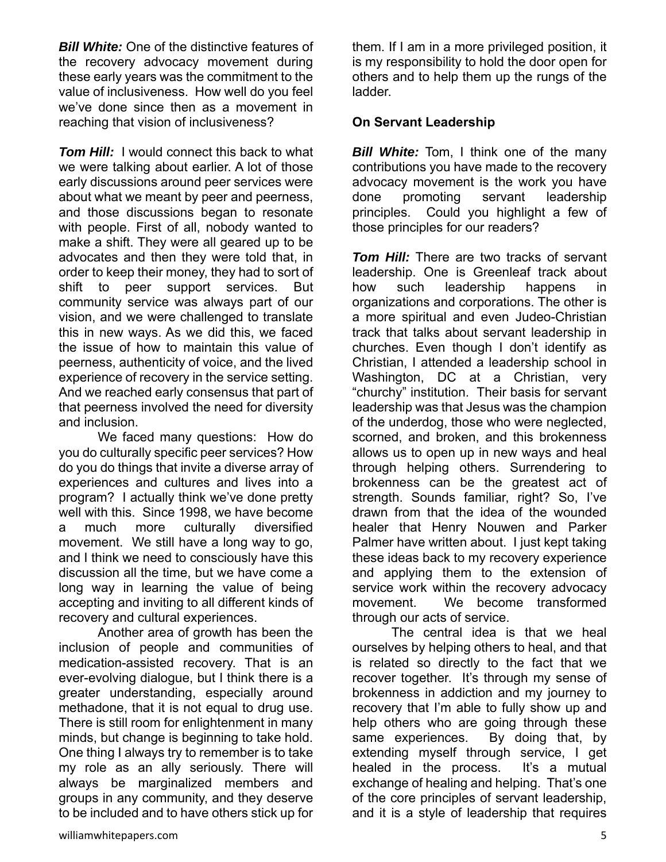*Bill White:* One of the distinctive features of the recovery advocacy movement during these early years was the commitment to the value of inclusiveness. How well do you feel we've done since then as a movement in reaching that vision of inclusiveness?

*Tom Hill:* I would connect this back to what we were talking about earlier. A lot of those early discussions around peer services were about what we meant by peer and peerness, and those discussions began to resonate with people. First of all, nobody wanted to make a shift. They were all geared up to be advocates and then they were told that, in order to keep their money, they had to sort of shift to peer support services. But community service was always part of our vision, and we were challenged to translate this in new ways. As we did this, we faced the issue of how to maintain this value of peerness, authenticity of voice, and the lived experience of recovery in the service setting. And we reached early consensus that part of that peerness involved the need for diversity and inclusion.

 We faced many questions: How do you do culturally specific peer services? How do you do things that invite a diverse array of experiences and cultures and lives into a program? I actually think we've done pretty well with this. Since 1998, we have become a much more culturally diversified movement. We still have a long way to go, and I think we need to consciously have this discussion all the time, but we have come a long way in learning the value of being accepting and inviting to all different kinds of recovery and cultural experiences.

 Another area of growth has been the inclusion of people and communities of medication-assisted recovery. That is an ever-evolving dialogue, but I think there is a greater understanding, especially around methadone, that it is not equal to drug use. There is still room for enlightenment in many minds, but change is beginning to take hold. One thing I always try to remember is to take my role as an ally seriously. There will always be marginalized members and groups in any community, and they deserve to be included and to have others stick up for

them. If I am in a more privileged position, it is my responsibility to hold the door open for others and to help them up the rungs of the ladder.

### **On Servant Leadership**

*Bill White:* Tom, I think one of the many contributions you have made to the recovery advocacy movement is the work you have done promoting servant leadership principles. Could you highlight a few of those principles for our readers?

**Tom Hill:** There are two tracks of servant leadership. One is Greenleaf track about how such leadership happens in organizations and corporations. The other is a more spiritual and even Judeo-Christian track that talks about servant leadership in churches. Even though I don't identify as Christian, I attended a leadership school in Washington, DC at a Christian, very "churchy" institution. Their basis for servant leadership was that Jesus was the champion of the underdog, those who were neglected, scorned, and broken, and this brokenness allows us to open up in new ways and heal through helping others. Surrendering to brokenness can be the greatest act of strength. Sounds familiar, right? So, I've drawn from that the idea of the wounded healer that Henry Nouwen and Parker Palmer have written about. I just kept taking these ideas back to my recovery experience and applying them to the extension of service work within the recovery advocacy movement. We become transformed through our acts of service.

 The central idea is that we heal ourselves by helping others to heal, and that is related so directly to the fact that we recover together. It's through my sense of brokenness in addiction and my journey to recovery that I'm able to fully show up and help others who are going through these same experiences. By doing that, by extending myself through service, I get healed in the process. It's a mutual exchange of healing and helping. That's one of the core principles of servant leadership, and it is a style of leadership that requires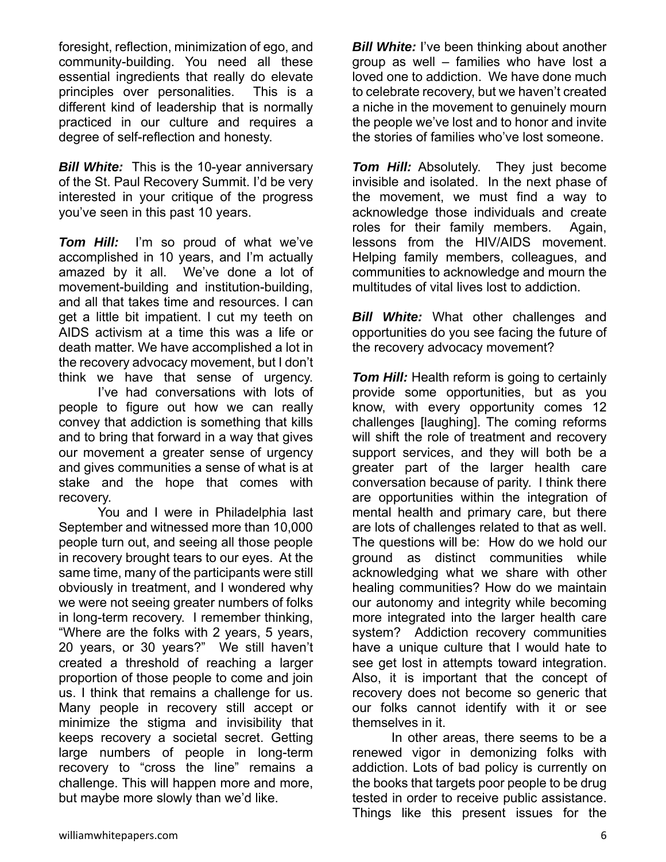foresight, reflection, minimization of ego, and community-building. You need all these essential ingredients that really do elevate principles over personalities. This is a different kind of leadership that is normally practiced in our culture and requires a degree of self-reflection and honesty.

*Bill White:* This is the 10-year anniversary of the St. Paul Recovery Summit. I'd be very interested in your critique of the progress you've seen in this past 10 years.

*Tom Hill:* I'm so proud of what we've accomplished in 10 years, and I'm actually amazed by it all. We've done a lot of movement-building and institution-building, and all that takes time and resources. I can get a little bit impatient. I cut my teeth on AIDS activism at a time this was a life or death matter. We have accomplished a lot in the recovery advocacy movement, but I don't think we have that sense of urgency.

 I've had conversations with lots of people to figure out how we can really convey that addiction is something that kills and to bring that forward in a way that gives our movement a greater sense of urgency and gives communities a sense of what is at stake and the hope that comes with recovery.

 You and I were in Philadelphia last September and witnessed more than 10,000 people turn out, and seeing all those people in recovery brought tears to our eyes. At the same time, many of the participants were still obviously in treatment, and I wondered why we were not seeing greater numbers of folks in long-term recovery. I remember thinking, "Where are the folks with 2 years, 5 years, 20 years, or 30 years?" We still haven't created a threshold of reaching a larger proportion of those people to come and join us. I think that remains a challenge for us. Many people in recovery still accept or minimize the stigma and invisibility that keeps recovery a societal secret. Getting large numbers of people in long-term recovery to "cross the line" remains a challenge. This will happen more and more, but maybe more slowly than we'd like.

*Bill White:* I've been thinking about another group as well – families who have lost a loved one to addiction. We have done much to celebrate recovery, but we haven't created a niche in the movement to genuinely mourn the people we've lost and to honor and invite the stories of families who've lost someone.

**Tom Hill:** Absolutely. They just become invisible and isolated. In the next phase of the movement, we must find a way to acknowledge those individuals and create roles for their family members. Again, lessons from the HIV/AIDS movement. Helping family members, colleagues, and communities to acknowledge and mourn the multitudes of vital lives lost to addiction.

**Bill White:** What other challenges and opportunities do you see facing the future of the recovery advocacy movement?

**Tom Hill:** Health reform is going to certainly provide some opportunities, but as you know, with every opportunity comes 12 challenges [laughing]. The coming reforms will shift the role of treatment and recovery support services, and they will both be a greater part of the larger health care conversation because of parity. I think there are opportunities within the integration of mental health and primary care, but there are lots of challenges related to that as well. The questions will be: How do we hold our ground as distinct communities while acknowledging what we share with other healing communities? How do we maintain our autonomy and integrity while becoming more integrated into the larger health care system? Addiction recovery communities have a unique culture that I would hate to see get lost in attempts toward integration. Also, it is important that the concept of recovery does not become so generic that our folks cannot identify with it or see themselves in it.

 In other areas, there seems to be a renewed vigor in demonizing folks with addiction. Lots of bad policy is currently on the books that targets poor people to be drug tested in order to receive public assistance. Things like this present issues for the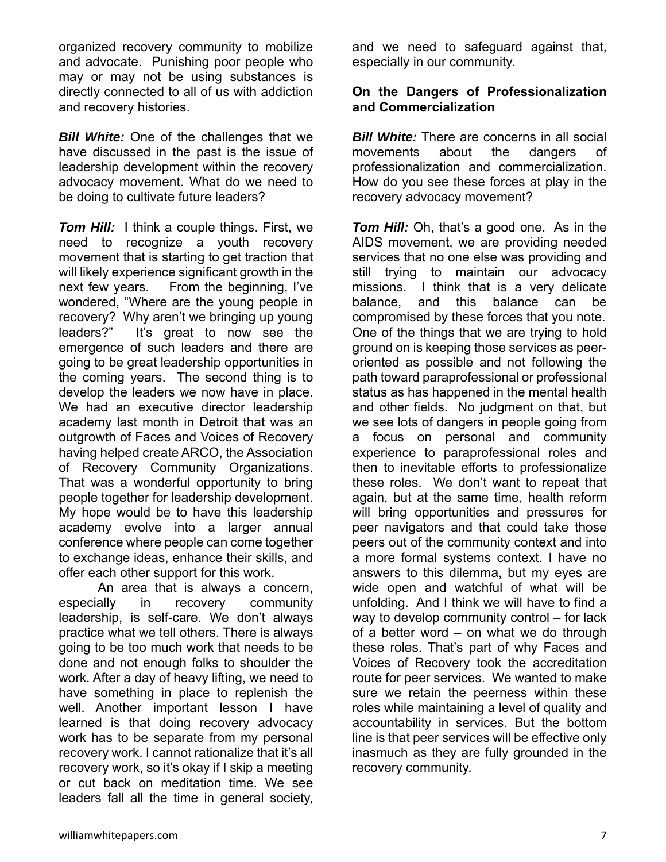organized recovery community to mobilize and advocate. Punishing poor people who may or may not be using substances is directly connected to all of us with addiction and recovery histories.

*Bill White:* One of the challenges that we have discussed in the past is the issue of leadership development within the recovery advocacy movement. What do we need to be doing to cultivate future leaders?

**Tom Hill:** I think a couple things. First, we need to recognize a youth recovery movement that is starting to get traction that will likely experience significant growth in the next few years. From the beginning, I've wondered, "Where are the young people in recovery? Why aren't we bringing up young leaders?" It's great to now see the emergence of such leaders and there are going to be great leadership opportunities in the coming years. The second thing is to develop the leaders we now have in place. We had an executive director leadership academy last month in Detroit that was an outgrowth of Faces and Voices of Recovery having helped create ARCO, the Association of Recovery Community Organizations. That was a wonderful opportunity to bring people together for leadership development. My hope would be to have this leadership academy evolve into a larger annual conference where people can come together to exchange ideas, enhance their skills, and offer each other support for this work.

 An area that is always a concern, especially in recovery community leadership, is self-care. We don't always practice what we tell others. There is always going to be too much work that needs to be done and not enough folks to shoulder the work. After a day of heavy lifting, we need to have something in place to replenish the well. Another important lesson I have learned is that doing recovery advocacy work has to be separate from my personal recovery work. I cannot rationalize that it's all recovery work, so it's okay if I skip a meeting or cut back on meditation time. We see leaders fall all the time in general society,

and we need to safeguard against that, especially in our community.

### **On the Dangers of Professionalization and Commercialization**

*Bill White:* There are concerns in all social movements about the dangers of professionalization and commercialization. How do you see these forces at play in the recovery advocacy movement?

*Tom Hill:* Oh, that's a good one. As in the AIDS movement, we are providing needed services that no one else was providing and still trying to maintain our advocacy missions. I think that is a very delicate balance, and this balance can be compromised by these forces that you note. One of the things that we are trying to hold ground on is keeping those services as peeroriented as possible and not following the path toward paraprofessional or professional status as has happened in the mental health and other fields. No judgment on that, but we see lots of dangers in people going from a focus on personal and community experience to paraprofessional roles and then to inevitable efforts to professionalize these roles. We don't want to repeat that again, but at the same time, health reform will bring opportunities and pressures for peer navigators and that could take those peers out of the community context and into a more formal systems context. I have no answers to this dilemma, but my eyes are wide open and watchful of what will be unfolding. And I think we will have to find a way to develop community control – for lack of a better word – on what we do through these roles. That's part of why Faces and Voices of Recovery took the accreditation route for peer services. We wanted to make sure we retain the peerness within these roles while maintaining a level of quality and accountability in services. But the bottom line is that peer services will be effective only inasmuch as they are fully grounded in the recovery community.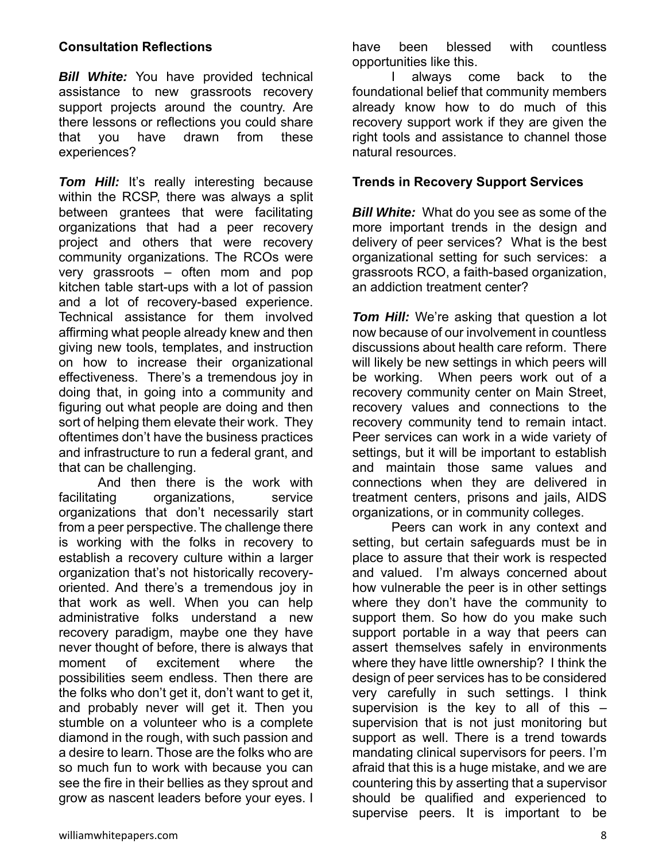## **Consultation Reflections**

*Bill White:* You have provided technical assistance to new grassroots recovery support projects around the country. Are there lessons or reflections you could share that you have drawn from these experiences?

**Tom Hill:** It's really interesting because within the RCSP, there was always a split between grantees that were facilitating organizations that had a peer recovery project and others that were recovery community organizations. The RCOs were very grassroots – often mom and pop kitchen table start-ups with a lot of passion and a lot of recovery-based experience. Technical assistance for them involved affirming what people already knew and then giving new tools, templates, and instruction on how to increase their organizational effectiveness. There's a tremendous joy in doing that, in going into a community and figuring out what people are doing and then sort of helping them elevate their work. They oftentimes don't have the business practices and infrastructure to run a federal grant, and that can be challenging.

 And then there is the work with facilitating organizations, service organizations that don't necessarily start from a peer perspective. The challenge there is working with the folks in recovery to establish a recovery culture within a larger organization that's not historically recoveryoriented. And there's a tremendous joy in that work as well. When you can help administrative folks understand a new recovery paradigm, maybe one they have never thought of before, there is always that moment of excitement where the possibilities seem endless. Then there are the folks who don't get it, don't want to get it, and probably never will get it. Then you stumble on a volunteer who is a complete diamond in the rough, with such passion and a desire to learn. Those are the folks who are so much fun to work with because you can see the fire in their bellies as they sprout and grow as nascent leaders before your eyes. I

have been blessed with countless opportunities like this.

 I always come back to the foundational belief that community members already know how to do much of this recovery support work if they are given the right tools and assistance to channel those natural resources.

#### **Trends in Recovery Support Services**

*Bill White:* What do you see as some of the more important trends in the design and delivery of peer services? What is the best organizational setting for such services: a grassroots RCO, a faith-based organization, an addiction treatment center?

**Tom Hill:** We're asking that question a lot now because of our involvement in countless discussions about health care reform. There will likely be new settings in which peers will be working. When peers work out of a recovery community center on Main Street, recovery values and connections to the recovery community tend to remain intact. Peer services can work in a wide variety of settings, but it will be important to establish and maintain those same values and connections when they are delivered in treatment centers, prisons and jails, AIDS organizations, or in community colleges.

 Peers can work in any context and setting, but certain safeguards must be in place to assure that their work is respected and valued. I'm always concerned about how vulnerable the peer is in other settings where they don't have the community to support them. So how do you make such support portable in a way that peers can assert themselves safely in environments where they have little ownership? I think the design of peer services has to be considered very carefully in such settings. I think supervision is the key to all of this – supervision that is not just monitoring but support as well. There is a trend towards mandating clinical supervisors for peers. I'm afraid that this is a huge mistake, and we are countering this by asserting that a supervisor should be qualified and experienced to supervise peers. It is important to be